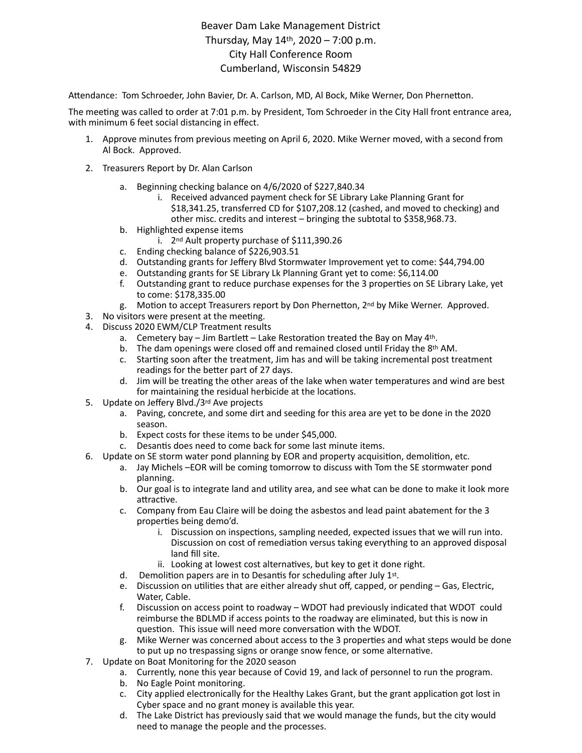## Beaver Dam Lake Management District Thursday, May 14th, 2020 – 7:00 p.m. City Hall Conference Room Cumberland, Wisconsin 54829

Attendance: Tom Schroeder, John Bavier, Dr. A. Carlson, MD, Al Bock, Mike Werner, Don Phernetton.

The meeting was called to order at 7:01 p.m. by President, Tom Schroeder in the City Hall front entrance area, with minimum 6 feet social distancing in effect.

- 1. Approve minutes from previous meeting on April 6, 2020. Mike Werner moved, with a second from Al Bock. Approved.
- 2. Treasurers Report by Dr. Alan Carlson
	- a. Beginning checking balance on 4/6/2020 of \$227,840.34
		- i. Received advanced payment check for SE Library Lake Planning Grant for \$18,341.25, transferred CD for \$107,208.12 (cashed, and moved to checking) and other misc. credits and interest – bringing the subtotal to \$358,968.73.
	- b. Highlighted expense items
		- i. 2<sup>nd</sup> Ault property purchase of \$111,390.26
	- c. Ending checking balance of \$226,903.51
	- d. Outstanding grants for Jeffery Blvd Stormwater Improvement yet to come: \$44,794.00
	- e. Outstanding grants for SE Library Lk Planning Grant yet to come: \$6,114.00
	- f. Outstanding grant to reduce purchase expenses for the 3 properties on SE Library Lake, yet to come: \$178,335.00
	- g. Motion to accept Treasurers report by Don Phernetton, 2<sup>nd</sup> by Mike Werner. Approved.
- 3. No visitors were present at the meeting.
- 4. Discuss 2020 EWM/CLP Treatment results
	- a. Cemetery bay Jim Bartlett Lake Restoration treated the Bay on May 4th.
	- b. The dam openings were closed off and remained closed until Friday the 8th AM.
	- c. Starting soon after the treatment, Jim has and will be taking incremental post treatment readings for the better part of 27 days.
	- d. Jim will be treating the other areas of the lake when water temperatures and wind are best for maintaining the residual herbicide at the locations.
- 5. Update on Jeffery Blvd./3rd Ave projects
	- a. Paving, concrete, and some dirt and seeding for this area are yet to be done in the 2020 season.
	- b. Expect costs for these items to be under \$45,000.
	- c. Desantis does need to come back for some last minute items.
- 6. Update on SE storm water pond planning by EOR and property acquisition, demolition, etc.
	- a. Jay Michels –EOR will be coming tomorrow to discuss with Tom the SE stormwater pond planning.
	- b. Our goal is to integrate land and utility area, and see what can be done to make it look more attractive.
	- c. Company from Eau Claire will be doing the asbestos and lead paint abatement for the 3 properties being demo'd.
		- i. Discussion on inspections, sampling needed, expected issues that we will run into. Discussion on cost of remediation versus taking everything to an approved disposal land fill site.
		- ii. Looking at lowest cost alternatives, but key to get it done right.
	- d. Demolition papers are in to Desantis for scheduling after July  $1<sup>st</sup>$ .
	- e. Discussion on utilities that are either already shut off, capped, or pending Gas, Electric, Water, Cable.
	- f. Discussion on access point to roadway WDOT had previously indicated that WDOT could reimburse the BDLMD if access points to the roadway are eliminated, but this is now in question. This issue will need more conversation with the WDOT.
	- g. Mike Werner was concerned about access to the 3 properties and what steps would be done to put up no trespassing signs or orange snow fence, or some alternative.
- 7. Update on Boat Monitoring for the 2020 season
	- a. Currently, none this year because of Covid 19, and lack of personnel to run the program.
	- b. No Eagle Point monitoring.
	- c. City applied electronically for the Healthy Lakes Grant, but the grant application got lost in Cyber space and no grant money is available this year.
	- d. The Lake District has previously said that we would manage the funds, but the city would need to manage the people and the processes.